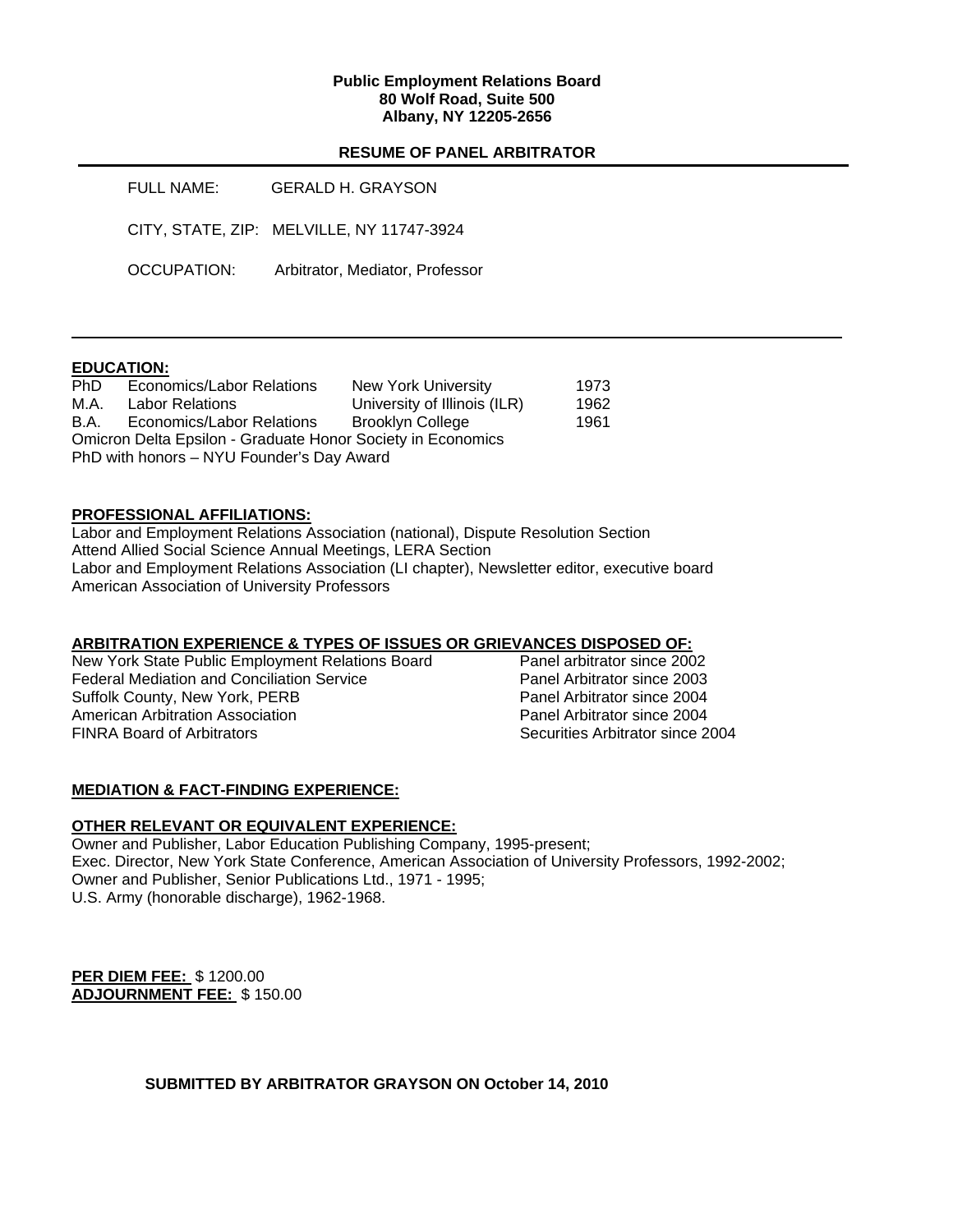#### **Public Employment Relations Board 80 Wolf Road, Suite 500 Albany, NY 12205-2656**

# **RESUME OF PANEL ARBITRATOR**

| FULL NAME:  | <b>GERALD H. GRAYSON</b>                  |
|-------------|-------------------------------------------|
|             | CITY, STATE, ZIP: MELVILLE, NY 11747-3924 |
| OCCUPATION: | Arbitrator, Mediator, Professor           |

## **EDUCATION:**

| <b>PhD</b>                                                  | <b>Economics/Labor Relations</b> | New York University          | 1973 |  |  |
|-------------------------------------------------------------|----------------------------------|------------------------------|------|--|--|
| M.A.                                                        | <b>Labor Relations</b>           | University of Illinois (ILR) | 1962 |  |  |
| B.A.                                                        | Economics/Labor Relations        | <b>Brooklyn College</b>      | 1961 |  |  |
| Omicron Delta Epsilon - Graduate Honor Society in Economics |                                  |                              |      |  |  |
| PhD with honors – NYU Founder's Day Award                   |                                  |                              |      |  |  |

# **PROFESSIONAL AFFILIATIONS:**

Labor and Employment Relations Association (national), Dispute Resolution Section Attend Allied Social Science Annual Meetings, LERA Section Labor and Employment Relations Association (LI chapter), Newsletter editor, executive board American Association of University Professors

## **ARBITRATION EXPERIENCE & TYPES OF ISSUES OR GRIEVANCES DISPOSED OF:**

New York State Public Employment Relations Board Panel arbitrator since 2002 Federal Mediation and Conciliation Service **Panel Arbitrator Since 2003** Suffolk County, New York, PERB Panel Arbitrator since 2004 American Arbitration Association<br>
FINRA Board of Arbitrators<br>
2004 CHRA Board of Arbitrators

Securities Arbitrator since 2004

## **MEDIATION & FACT-FINDING EXPERIENCE:**

# **OTHER RELEVANT OR EQUIVALENT EXPERIENCE:**

Owner and Publisher, Labor Education Publishing Company, 1995-present; Exec. Director, New York State Conference, American Association of University Professors, 1992-2002; Owner and Publisher, Senior Publications Ltd., 1971 - 1995; U.S. Army (honorable discharge), 1962-1968.

**PER DIEM FEE:** \$ 1200.00 **ADJOURNMENT FEE:** \$ 150.00

**SUBMITTED BY ARBITRATOR GRAYSON ON October 14, 2010**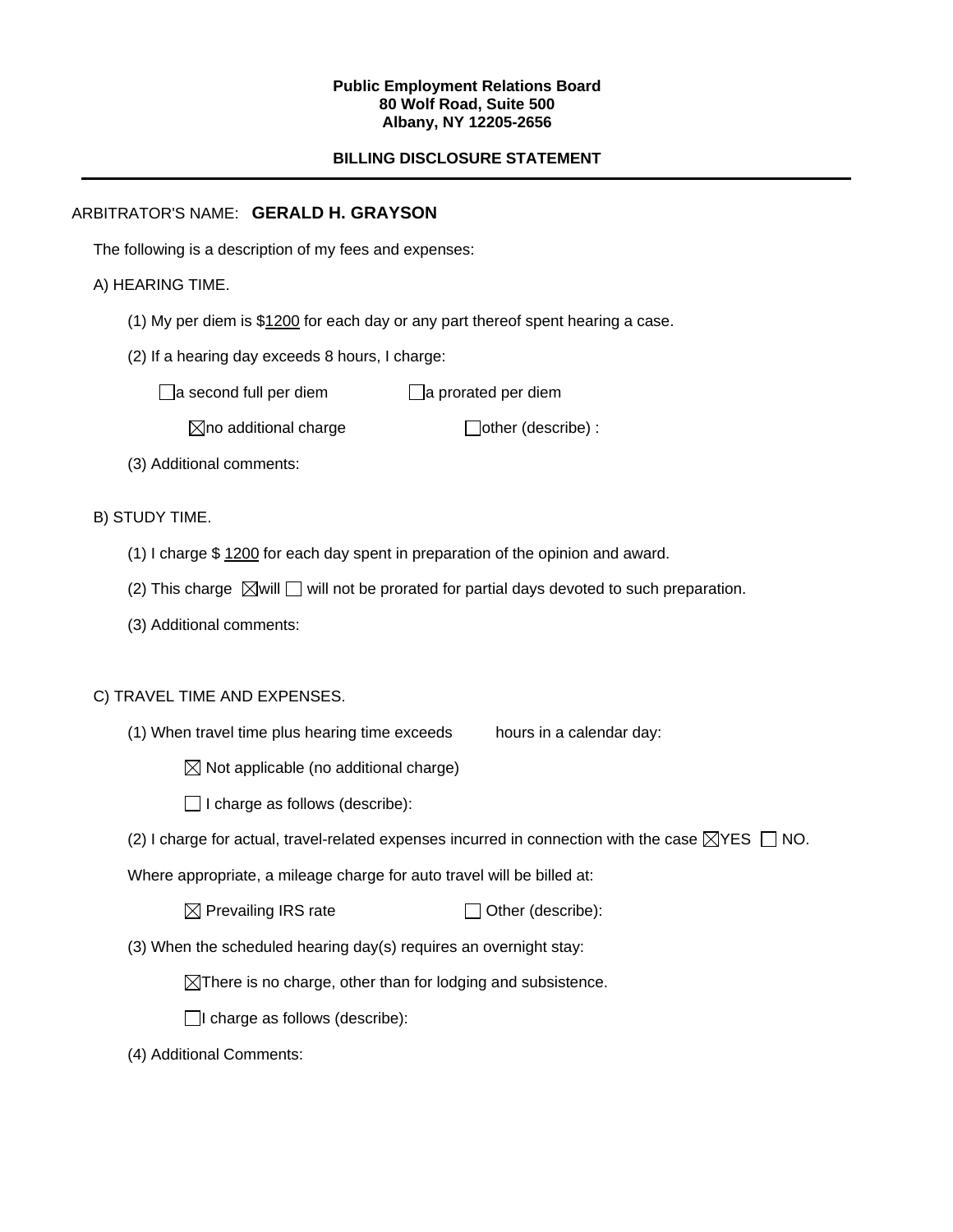#### **Public Employment Relations Board 80 Wolf Road, Suite 500 Albany, NY 12205-2656**

# **BILLING DISCLOSURE STATEMENT**

# ARBITRATOR'S NAME: **GERALD H. GRAYSON**

The following is a description of my fees and expenses:

# A) HEARING TIME.

- (1) My per diem is \$1200 for each day or any part thereof spent hearing a case.
- (2) If a hearing day exceeds 8 hours, I charge:

 $\Box$ a second full per diem  $\Box$ a prorated per diem

 $\boxtimes$ no additional charge  $\Box$ other (describe) :

(3) Additional comments:

B) STUDY TIME.

- (1) I charge \$ 1200 for each day spent in preparation of the opinion and award.
- (2) This charge  $\boxtimes$  will  $\Box$  will not be prorated for partial days devoted to such preparation.
- (3) Additional comments:

## C) TRAVEL TIME AND EXPENSES.

- (1) When travel time plus hearing time exceeds hours in a calendar day:
	- $\boxtimes$  Not applicable (no additional charge)
	- $\Box$  I charge as follows (describe):
- (2) I charge for actual, travel-related expenses incurred in connection with the case  $\boxtimes$ YES  $\Box$  NO.

Where appropriate, a mileage charge for auto travel will be billed at:

| $\boxtimes$ Prevailing IRS rate | $\Box$ Other (describe): |
|---------------------------------|--------------------------|
|---------------------------------|--------------------------|

(3) When the scheduled hearing day(s) requires an overnight stay:

 $\boxtimes$ There is no charge, other than for lodging and subsistence.

 $\Box$ I charge as follows (describe):

(4) Additional Comments: